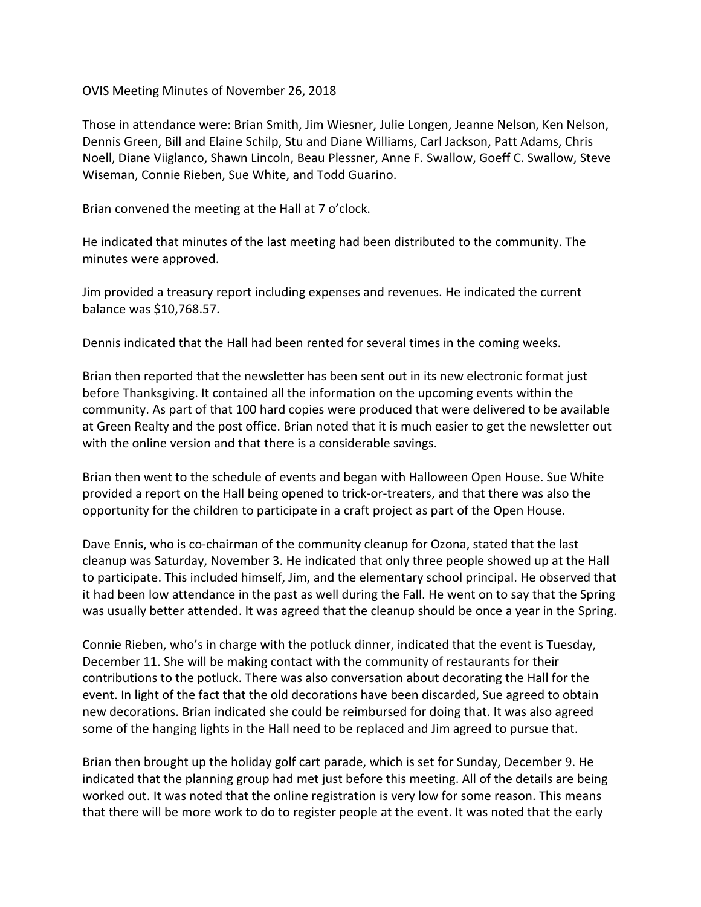OVIS Meeting Minutes of November 26, 2018

Those in attendance were: Brian Smith, Jim Wiesner, Julie Longen, Jeanne Nelson, Ken Nelson, Dennis Green, Bill and Elaine Schilp, Stu and Diane Williams, Carl Jackson, Patt Adams, Chris Noell, Diane Viiglanco, Shawn Lincoln, Beau Plessner, Anne F. Swallow, Goeff C. Swallow, Steve Wiseman, Connie Rieben, Sue White, and Todd Guarino.

Brian convened the meeting at the Hall at 7 o'clock.

He indicated that minutes of the last meeting had been distributed to the community. The minutes were approved.

Jim provided a treasury report including expenses and revenues. He indicated the current balance was \$10,768.57.

Dennis indicated that the Hall had been rented for several times in the coming weeks.

Brian then reported that the newsletter has been sent out in its new electronic format just before Thanksgiving. It contained all the information on the upcoming events within the community. As part of that 100 hard copies were produced that were delivered to be available at Green Realty and the post office. Brian noted that it is much easier to get the newsletter out with the online version and that there is a considerable savings.

Brian then went to the schedule of events and began with Halloween Open House. Sue White provided a report on the Hall being opened to trick-or-treaters, and that there was also the opportunity for the children to participate in a craft project as part of the Open House.

Dave Ennis, who is co-chairman of the community cleanup for Ozona, stated that the last cleanup was Saturday, November 3. He indicated that only three people showed up at the Hall to participate. This included himself, Jim, and the elementary school principal. He observed that it had been low attendance in the past as well during the Fall. He went on to say that the Spring was usually better attended. It was agreed that the cleanup should be once a year in the Spring.

Connie Rieben, who's in charge with the potluck dinner, indicated that the event is Tuesday, December 11. She will be making contact with the community of restaurants for their contributions to the potluck. There was also conversation about decorating the Hall for the event. In light of the fact that the old decorations have been discarded, Sue agreed to obtain new decorations. Brian indicated she could be reimbursed for doing that. It was also agreed some of the hanging lights in the Hall need to be replaced and Jim agreed to pursue that.

Brian then brought up the holiday golf cart parade, which is set for Sunday, December 9. He indicated that the planning group had met just before this meeting. All of the details are being worked out. It was noted that the online registration is very low for some reason. This means that there will be more work to do to register people at the event. It was noted that the early